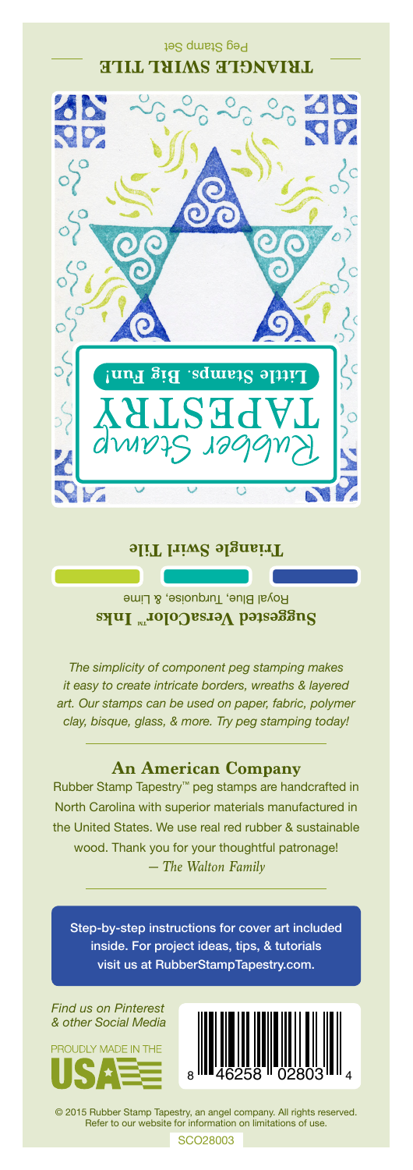### Peg Stamp Set **TRIANGLE SWIRL TILE**



#### **Triangle Swirl Tile**

Royal Blue, Turquoise, & Lime **Suggested VersaColor** Inks

*The simplicity of component peg stamping makes it easy to create intricate borders, wreaths & layered art. Our stamps can be used on paper, fabric, polymer clay, bisque, glass, & more. Try peg stamping today!*

#### **An American Company**

*— The Walton Family* Rubber Stamp Tapestry™ peg stamps are handcrafted in North Carolina with superior materials manufactured in the United States. We use real red rubber & sustainable wood. Thank you for your thoughtful patronage!

Step-by-step instructions for cover art included inside. For project ideas, tips, & tutorials visit us at RubberStampTapestry.com.

*Find us on Pinterest & other Social Media*





© 2015 Rubber Stamp Tapestry, an angel company. All rights reserved. Refer to our website for information on limitations of use.